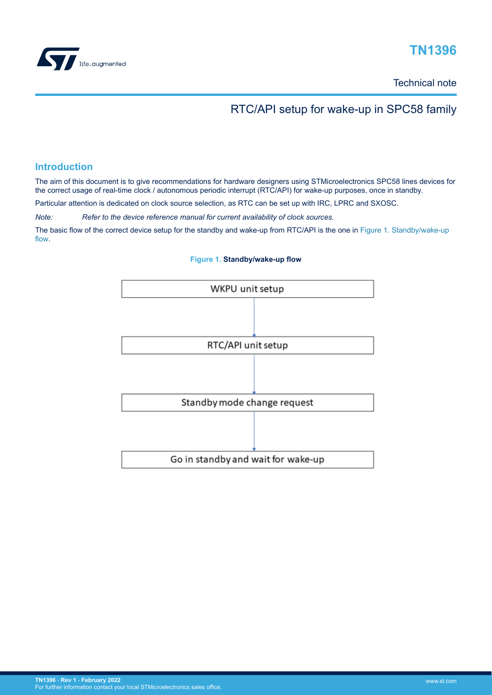

# **TN1396**

Technical note

# RTC/API setup for wake-up in SPC58 family

# **Introduction**

The aim of this document is to give recommendations for hardware designers using STMicroelectronics SPC58 lines devices for the correct usage of real-time clock / autonomous periodic interrupt (RTC/API) for wake-up purposes, once in standby.

Particular attention is dedicated on clock source selection, as RTC can be set up with IRC, LPRC and SXOSC.

*Note: Refer to the device reference manual for current availability of clock sources.*

The basic flow of the correct device setup for the standby and wake-up from RTC/API is the one in Figure 1. Standby/wake-up flow.



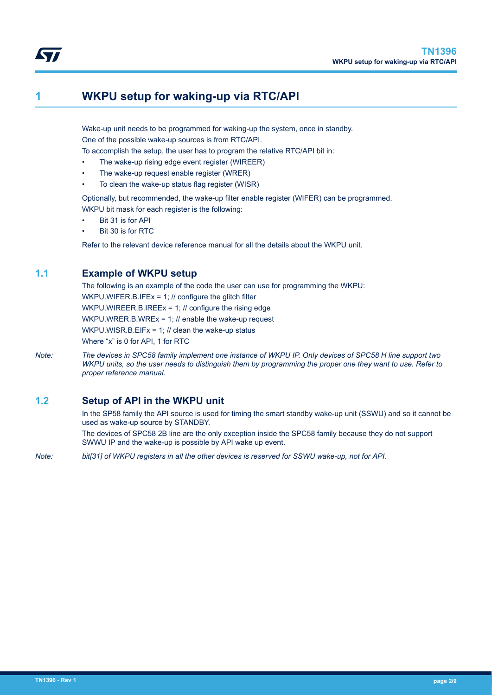# **1 WKPU setup for waking-up via RTC/API**

Wake-up unit needs to be programmed for waking-up the system, once in standby. One of the possible wake-up sources is from RTC/API.

To accomplish the setup, the user has to program the relative RTC/API bit in:

- The wake-up rising edge event register (WIREER)
- The wake-up request enable register (WRER)
- To clean the wake-up status flag register (WISR)

Optionally, but recommended, the wake-up filter enable register (WIFER) can be programmed. WKPU bit mask for each register is the following:

Bit 31 is for API

<span id="page-1-0"></span>W

Bit 30 is for RTC

Refer to the relevant device reference manual for all the details about the WKPU unit.

# **1.1 Example of WKPU setup**

The following is an example of the code the user can use for programming the WKPU: WKPU.WIFER.B.IFEx = 1: // configure the glitch filter WKPU.WIREER.B.IREEx = 1; // configure the rising edge WKPU.WRER.B.WREx = 1; // enable the wake-up request WKPU.WISR.B.EIFx = 1; // clean the wake-up status Where "x" is 0 for API, 1 for RTC

*Note: The devices in SPC58 family implement one instance of WKPU IP. Only devices of SPC58 H line support two WKPU units, so the user needs to distinguish them by programming the proper one they want to use. Refer to proper reference manual.*

# **1.2 Setup of API in the WKPU unit**

In the SP58 family the API source is used for timing the smart standby wake-up unit (SSWU) and so it cannot be used as wake-up source by STANDBY.

The devices of SPC58 2B line are the only exception inside the SPC58 family because they do not support SWWU IP and the wake-up is possible by API wake up event.

*Note: bit[31] of WKPU registers in all the other devices is reserved for SSWU wake-up, not for API.*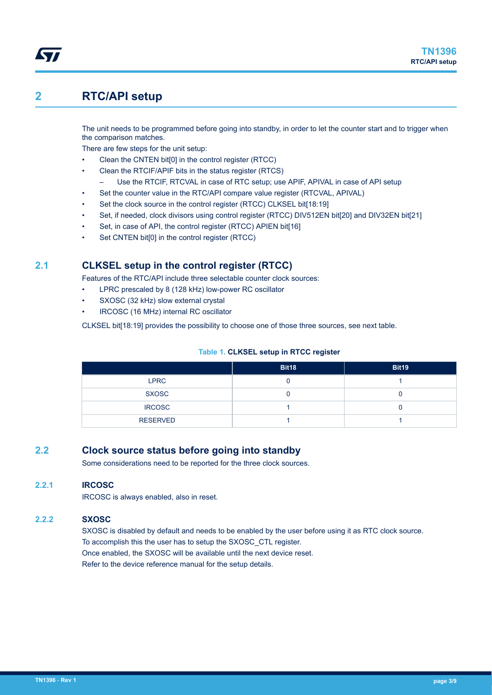# <span id="page-2-0"></span>**2 RTC/API setup**

The unit needs to be programmed before going into standby, in order to let the counter start and to trigger when the comparison matches.

There are few steps for the unit setup:

- Clean the CNTEN bit[0] in the control register (RTCC)
	- Clean the RTCIF/APIF bits in the status register (RTCS)
		- Use the RTCIF, RTCVAL in case of RTC setup; use APIF, APIVAL in case of API setup
- Set the counter value in the RTC/API compare value register (RTCVAL, APIVAL)
- Set the clock source in the control register (RTCC) CLKSEL bit[18:19]
- Set, if needed, clock divisors using control register (RTCC) DIV512EN bit[20] and DIV32EN bit[21]
- Set, in case of API, the control register (RTCC) APIEN bit[16]
- Set CNTEN bit[0] in the control register (RTCC)

# **2.1 CLKSEL setup in the control register (RTCC)**

Features of the RTC/API include three selectable counter clock sources:

- LPRC prescaled by 8 (128 kHz) low-power RC oscillator
- SXOSC (32 kHz) slow external crystal
- IRCOSC (16 MHz) internal RC oscillator

CLKSEL bit[18:19] provides the possibility to choose one of those three sources, see next table.

#### **Table 1. CLKSEL setup in RTCC register**

|                 | <b>Bit18</b> | <b>Bit19</b> |
|-----------------|--------------|--------------|
| <b>LPRC</b>     |              |              |
| <b>SXOSC</b>    |              |              |
| <b>IRCOSC</b>   |              |              |
| <b>RESERVED</b> |              |              |

# **2.2 Clock source status before going into standby**

Some considerations need to be reported for the three clock sources.

## **2.2.1 IRCOSC**

IRCOSC is always enabled, also in reset.

## **2.2.2 SXOSC**

SXOSC is disabled by default and needs to be enabled by the user before using it as RTC clock source. To accomplish this the user has to setup the SXOSC\_CTL register. Once enabled, the SXOSC will be available until the next device reset. Refer to the device reference manual for the setup details.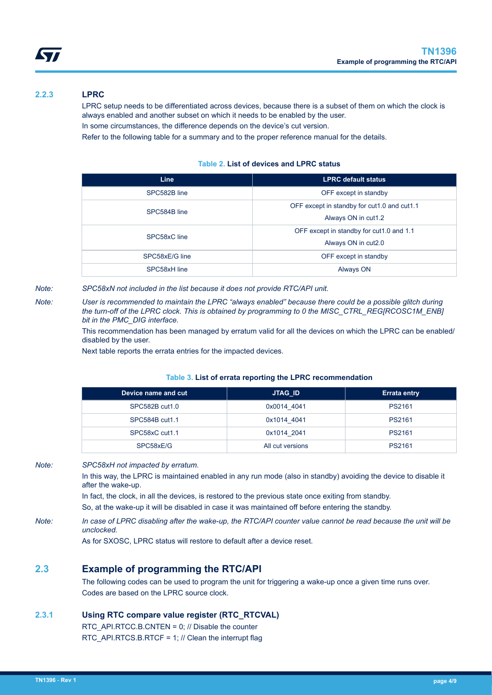<span id="page-3-0"></span>

## **2.2.3 LPRC**

LPRC setup needs to be differentiated across devices, because there is a subset of them on which the clock is always enabled and another subset on which it needs to be enabled by the user.

In some circumstances, the difference depends on the device's cut version.

Refer to the following table for a summary and to the proper reference manual for the details.

#### **Table 2. List of devices and LPRC status**

| <b>LPRC default status</b>                                         |
|--------------------------------------------------------------------|
| OFF except in standby                                              |
| OFF except in standby for cut1.0 and cut1.1<br>Always ON in cut1.2 |
| OFF except in standby for cut1.0 and 1.1<br>Always ON in cut2.0    |
| OFF except in standby                                              |
| Always ON                                                          |
|                                                                    |

*Note: SPC58xN not included in the list because it does not provide RTC/API unit.*

*Note: User is recommended to maintain the LPRC "always enabled" because there could be a possible glitch during the turn-off of the LPRC clock. This is obtained by programming to 0 the MISC\_CTRL\_REG[RCOSC1M\_ENB] bit in the PMC\_DIG interface.*

> This recommendation has been managed by erratum valid for all the devices on which the LPRC can be enabled/ disabled by the user.

Next table reports the errata entries for the impacted devices.

#### **Table 3. List of errata reporting the LPRC recommendation**

| Device name and cut | <b>JTAG ID</b>   | <b>Errata entry</b> |  |
|---------------------|------------------|---------------------|--|
| SPC582B cut1.0      | 0x0014 4041      | PS2161              |  |
| SPC584B cut1.1      | 0x1014 4041      | PS2161              |  |
| SPC58xC cut1.1      | 0x1014 2041      | PS2161              |  |
| SPC58xE/G           | All cut versions | PS2161              |  |

*Note: SPC58xH not impacted by erratum.*

In this way, the LPRC is maintained enabled in any run mode (also in standby) avoiding the device to disable it after the wake-up.

In fact, the clock, in all the devices, is restored to the previous state once exiting from standby.

So, at the wake-up it will be disabled in case it was maintained off before entering the standby.

*Note: In case of LPRC disabling after the wake-up, the RTC/API counter value cannot be read because the unit will be unclocked.*

As for SXOSC, LPRC status will restore to default after a device reset.

# **2.3 Example of programming the RTC/API**

The following codes can be used to program the unit for triggering a wake-up once a given time runs over. Codes are based on the LPRC source clock.

### **2.3.1 Using RTC compare value register (RTC\_RTCVAL)**

RTC\_API.RTCC.B.CNTEN = 0; // Disable the counter RTC\_API.RTCS.B.RTCF = 1; // Clean the interrupt flag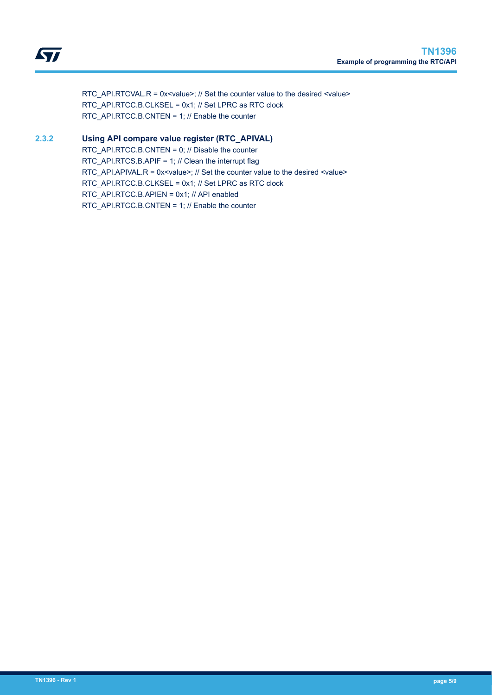<span id="page-4-0"></span>RTC\_API.RTCVAL.R = 0x<value>; // Set the counter value to the desired <value> RTC\_API.RTCC.B.CLKSEL = 0x1; // Set LPRC as RTC clock RTC\_API.RTCC.B.CNTEN = 1; // Enable the counter

## **2.3.2 Using API compare value register (RTC\_APIVAL)**

RTC\_API.RTCC.B.CNTEN = 0; // Disable the counter RTC\_API.RTCS.B.APIF = 1; // Clean the interrupt flag RTC\_API.APIVAL.R = 0x<value>; // Set the counter value to the desired <value> RTC\_API.RTCC.B.CLKSEL = 0x1; // Set LPRC as RTC clock RTC\_API.RTCC.B.APIEN = 0x1; // API enabled RTC\_API.RTCC.B.CNTEN = 1; // Enable the counter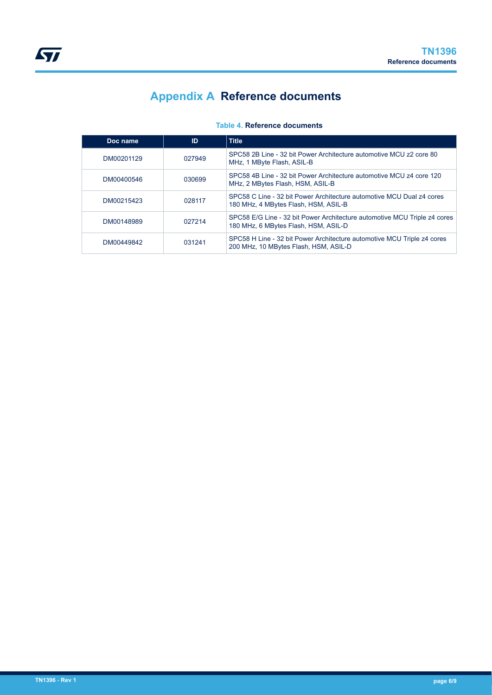# **Appendix A Reference documents**

### **Table 4. Reference documents**

<span id="page-5-0"></span>

| Doc name   | ID     | Title                                                                                                             |
|------------|--------|-------------------------------------------------------------------------------------------------------------------|
| DM00201129 | 027949 | SPC58 2B Line - 32 bit Power Architecture automotive MCU z2 core 80<br>MHz, 1 MByte Flash, ASIL-B                 |
| DM00400546 | 030699 | SPC58 4B Line - 32 bit Power Architecture automotive MCU z4 core 120<br>MHz, 2 MBytes Flash, HSM, ASIL-B          |
| DM00215423 | 028117 | SPC58 C Line - 32 bit Power Architecture automotive MCU Dual z4 cores<br>180 MHz, 4 MBytes Flash, HSM, ASIL-B     |
| DM00148989 | 027214 | SPC58 E/G Line - 32 bit Power Architecture automotive MCU Triple z4 cores<br>180 MHz, 6 MBytes Flash, HSM, ASIL-D |
| DM00449842 | 031241 | SPC58 H Line - 32 bit Power Architecture automotive MCU Triple z4 cores<br>200 MHz, 10 MBytes Flash, HSM, ASIL-D  |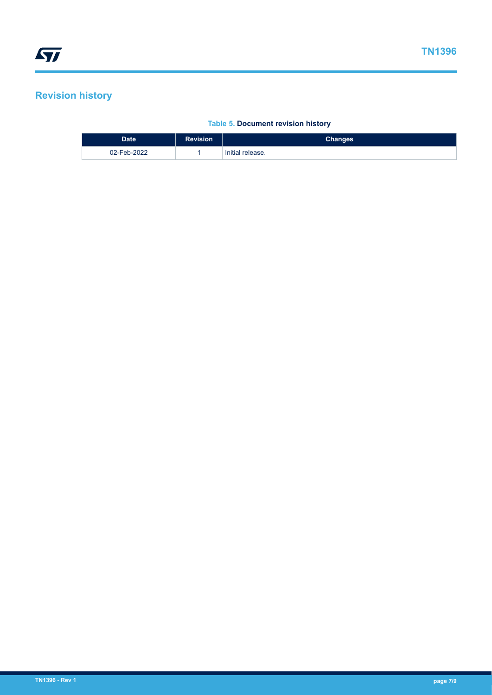# <span id="page-6-0"></span>**Revision history**

## **Table 5. Document revision history**

| <b>Date</b> | <b>Revision</b> | <b>Changes</b>   |
|-------------|-----------------|------------------|
| 02-Feb-2022 |                 | Initial release. |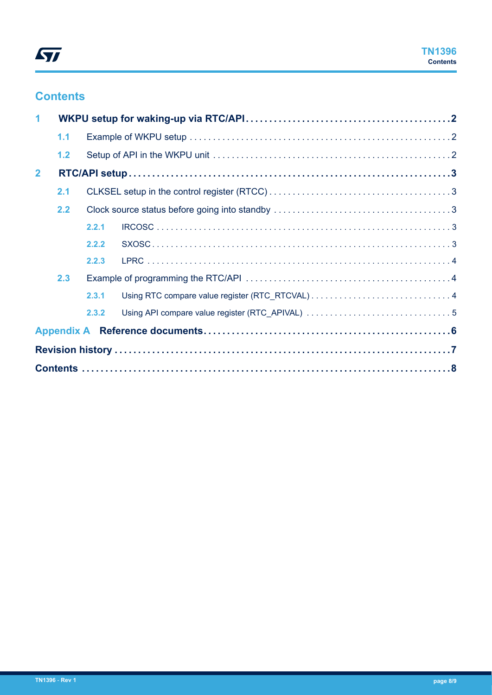# **Contents**

| 1              |     |       |  |  |
|----------------|-----|-------|--|--|
|                | 1.1 |       |  |  |
|                | 1.2 |       |  |  |
| $\overline{2}$ |     |       |  |  |
|                | 2.1 |       |  |  |
|                | 2.2 |       |  |  |
|                |     | 2.2.1 |  |  |
|                |     | 2.2.2 |  |  |
|                |     | 2.2.3 |  |  |
|                | 2.3 |       |  |  |
|                |     | 2.3.1 |  |  |
|                |     | 2.3.2 |  |  |
|                |     |       |  |  |
|                |     |       |  |  |
|                |     |       |  |  |